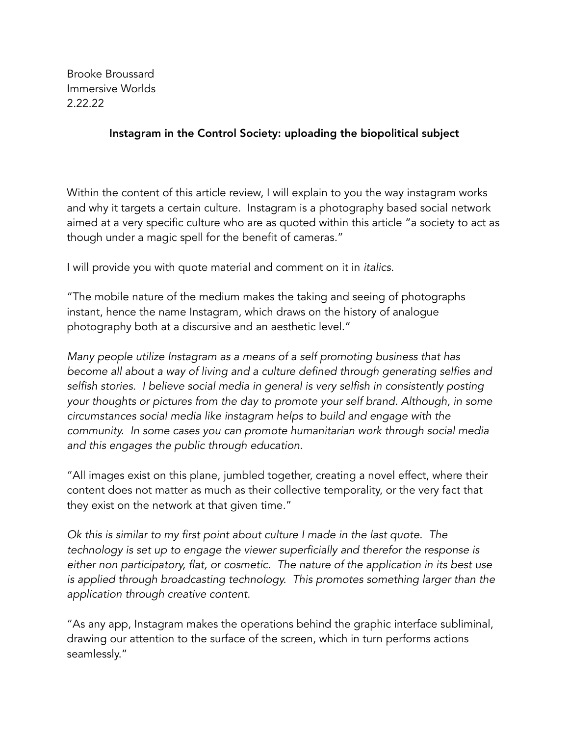Brooke Broussard Immersive Worlds 2.22.22

## Instagram in the Control Society: uploading the biopolitical subject

Within the content of this article review, I will explain to you the way instagram works and why it targets a certain culture. Instagram is a photography based social network aimed at a very specific culture who are as quoted within this article "a society to act as though under a magic spell for the benefit of cameras."

I will provide you with quote material and comment on it in *italics.*

"The mobile nature of the medium makes the taking and seeing of photographs instant, hence the name Instagram, which draws on the history of analogue photography both at a discursive and an aesthetic level."

*Many people utilize Instagram as a means of a self promoting business that has become all about a way of living and a culture defined through generating selfies and*  selfish stories. I believe social media in general is very selfish in consistently posting *your thoughts or pictures from the day to promote your self brand. Although, in some circumstances social media like instagram helps to build and engage with the community. In some cases you can promote humanitarian work through social media and this engages the public through education.*

"All images exist on this plane, jumbled together, creating a novel effect, where their content does not matter as much as their collective temporality, or the very fact that they exist on the network at that given time."

*Ok this is similar to my first point about culture I made in the last quote. The technology is set up to engage the viewer superficially and therefor the response is either non participatory, flat, or cosmetic. The nature of the application in its best use is applied through broadcasting technology. This promotes something larger than the application through creative content.*

"As any app, Instagram makes the operations behind the graphic interface subliminal, drawing our attention to the surface of the screen, which in turn performs actions seamlessly."